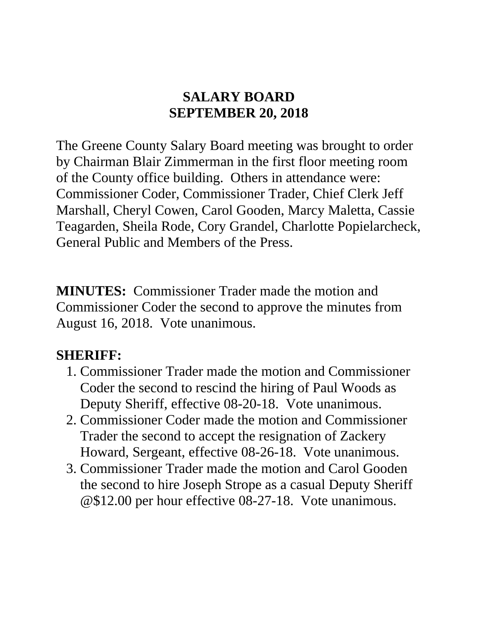### **SALARY BOARD SEPTEMBER 20, 2018**

The Greene County Salary Board meeting was brought to order by Chairman Blair Zimmerman in the first floor meeting room of the County office building. Others in attendance were: Commissioner Coder, Commissioner Trader, Chief Clerk Jeff Marshall, Cheryl Cowen, Carol Gooden, Marcy Maletta, Cassie Teagarden, Sheila Rode, Cory Grandel, Charlotte Popielarcheck, General Public and Members of the Press.

**MINUTES:** Commissioner Trader made the motion and Commissioner Coder the second to approve the minutes from August 16, 2018. Vote unanimous.

### **SHERIFF:**

- 1. Commissioner Trader made the motion and Commissioner Coder the second to rescind the hiring of Paul Woods as Deputy Sheriff, effective 08-20-18. Vote unanimous.
- 2. Commissioner Coder made the motion and Commissioner Trader the second to accept the resignation of Zackery Howard, Sergeant, effective 08-26-18. Vote unanimous.
- 3. Commissioner Trader made the motion and Carol Gooden the second to hire Joseph Strope as a casual Deputy Sheriff @\$12.00 per hour effective 08-27-18. Vote unanimous.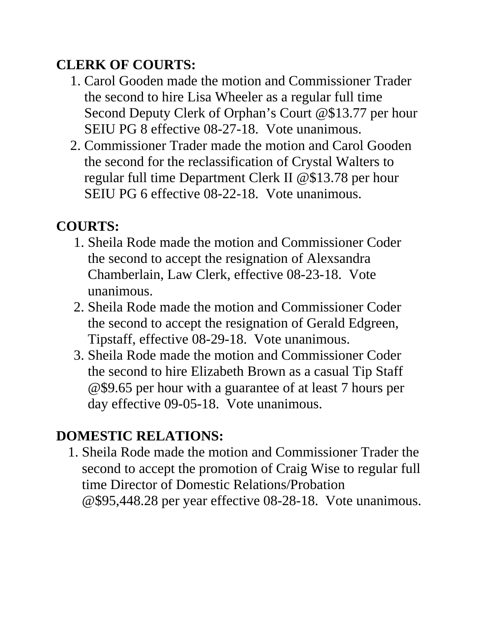## **CLERK OF COURTS:**

- 1. Carol Gooden made the motion and Commissioner Trader the second to hire Lisa Wheeler as a regular full time Second Deputy Clerk of Orphan's Court @\$13.77 per hour SEIU PG 8 effective 08-27-18. Vote unanimous.
- 2. Commissioner Trader made the motion and Carol Gooden the second for the reclassification of Crystal Walters to regular full time Department Clerk II @\$13.78 per hour SEIU PG 6 effective 08-22-18. Vote unanimous.

## **COURTS:**

- 1. Sheila Rode made the motion and Commissioner Coder the second to accept the resignation of Alexsandra Chamberlain, Law Clerk, effective 08-23-18. Vote unanimous.
- 2. Sheila Rode made the motion and Commissioner Coder the second to accept the resignation of Gerald Edgreen, Tipstaff, effective 08-29-18. Vote unanimous.
- 3. Sheila Rode made the motion and Commissioner Coder the second to hire Elizabeth Brown as a casual Tip Staff @\$9.65 per hour with a guarantee of at least 7 hours per day effective 09-05-18. Vote unanimous.

# **DOMESTIC RELATIONS:**

1. Sheila Rode made the motion and Commissioner Trader the second to accept the promotion of Craig Wise to regular full time Director of Domestic Relations/Probation @\$95,448.28 per year effective 08-28-18. Vote unanimous.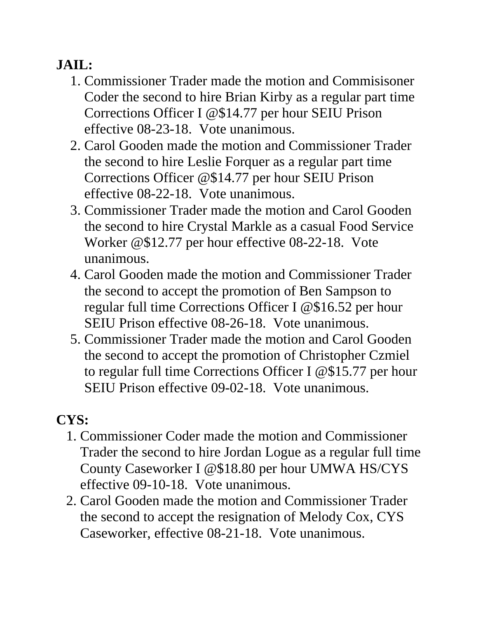## **JAIL:**

- 1. Commissioner Trader made the motion and Commisisoner Coder the second to hire Brian Kirby as a regular part time Corrections Officer I @\$14.77 per hour SEIU Prison effective 08-23-18. Vote unanimous.
- 2. Carol Gooden made the motion and Commissioner Trader the second to hire Leslie Forquer as a regular part time Corrections Officer @\$14.77 per hour SEIU Prison effective 08-22-18. Vote unanimous.
- 3. Commissioner Trader made the motion and Carol Gooden the second to hire Crystal Markle as a casual Food Service Worker @\$12.77 per hour effective 08-22-18. Vote unanimous.
- 4. Carol Gooden made the motion and Commissioner Trader the second to accept the promotion of Ben Sampson to regular full time Corrections Officer I @\$16.52 per hour SEIU Prison effective 08-26-18. Vote unanimous.
- 5. Commissioner Trader made the motion and Carol Gooden the second to accept the promotion of Christopher Czmiel to regular full time Corrections Officer I @\$15.77 per hour SEIU Prison effective 09-02-18. Vote unanimous.

# **CYS:**

- 1. Commissioner Coder made the motion and Commissioner Trader the second to hire Jordan Logue as a regular full time County Caseworker I @\$18.80 per hour UMWA HS/CYS effective 09-10-18. Vote unanimous.
- 2. Carol Gooden made the motion and Commissioner Trader the second to accept the resignation of Melody Cox, CYS Caseworker, effective 08-21-18. Vote unanimous.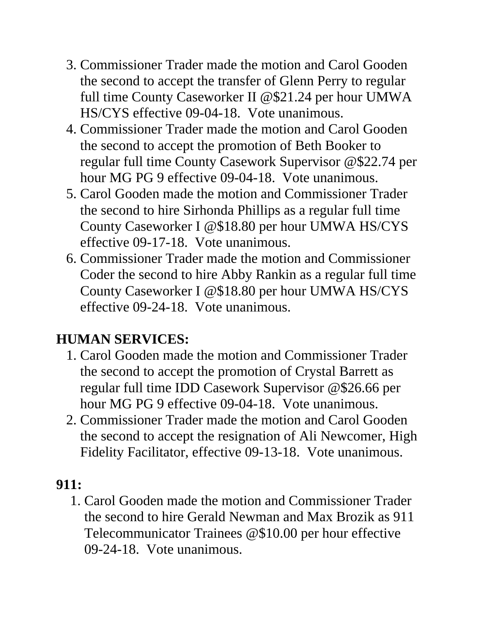- 3. Commissioner Trader made the motion and Carol Gooden the second to accept the transfer of Glenn Perry to regular full time County Caseworker II @\$21.24 per hour UMWA HS/CYS effective 09-04-18. Vote unanimous.
- 4. Commissioner Trader made the motion and Carol Gooden the second to accept the promotion of Beth Booker to regular full time County Casework Supervisor @\$22.74 per hour MG PG 9 effective 09-04-18. Vote unanimous.
- 5. Carol Gooden made the motion and Commissioner Trader the second to hire Sirhonda Phillips as a regular full time County Caseworker I @\$18.80 per hour UMWA HS/CYS effective 09-17-18. Vote unanimous.
- 6. Commissioner Trader made the motion and Commissioner Coder the second to hire Abby Rankin as a regular full time County Caseworker I @\$18.80 per hour UMWA HS/CYS effective 09-24-18. Vote unanimous.

### **HUMAN SERVICES:**

- 1. Carol Gooden made the motion and Commissioner Trader the second to accept the promotion of Crystal Barrett as regular full time IDD Casework Supervisor @\$26.66 per hour MG PG 9 effective 09-04-18. Vote unanimous.
- 2. Commissioner Trader made the motion and Carol Gooden the second to accept the resignation of Ali Newcomer, High Fidelity Facilitator, effective 09-13-18. Vote unanimous.

### **911:**

1. Carol Gooden made the motion and Commissioner Trader the second to hire Gerald Newman and Max Brozik as 911 Telecommunicator Trainees @\$10.00 per hour effective 09-24-18. Vote unanimous.